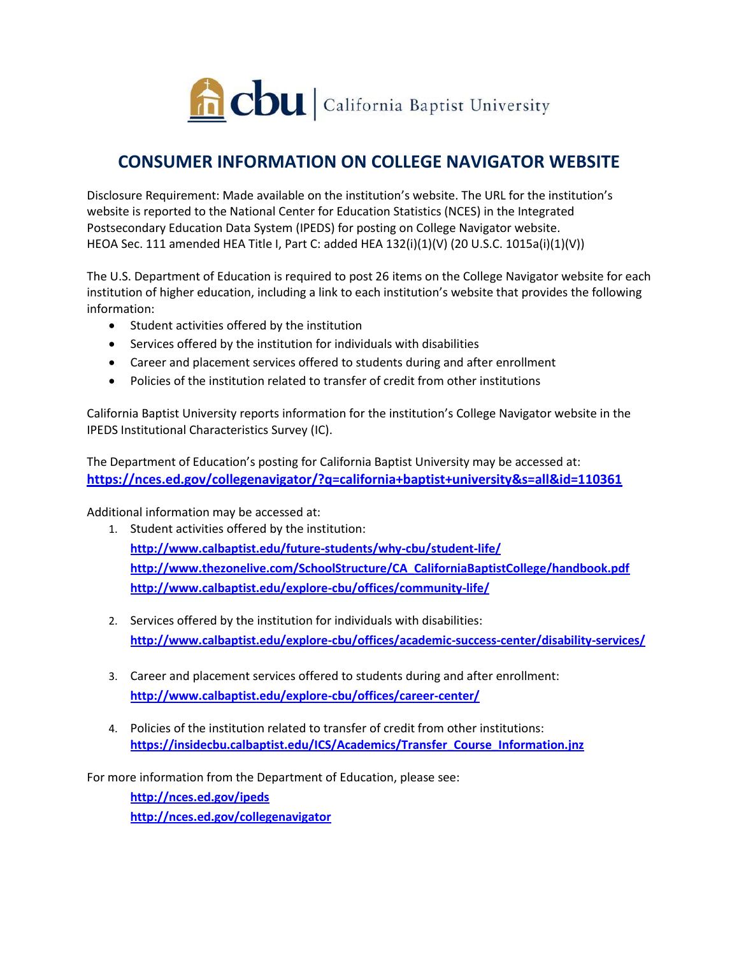

## **CONSUMER INFORMATION ON COLLEGE NAVIGATOR WEBSITE**

Disclosure Requirement: Made available on the institution's website. The URL for the institution's website is reported to the National Center for Education Statistics (NCES) in the Integrated Postsecondary Education Data System (IPEDS) for posting on College Navigator website. HEOA Sec. 111 amended HEA Title I, Part C: added HEA 132(i)(1)(V) (20 U.S.C. 1015a(i)(1)(V))

The U.S. Department of Education is required to post 26 items on the College Navigator website for each institution of higher education, including a link to each institution's website that provides the following information:

- Student activities offered by the institution
- Services offered by the institution for individuals with disabilities
- Career and placement services offered to students during and after enrollment
- Policies of the institution related to transfer of credit from other institutions

California Baptist University reports information for the institution's College Navigator website in the IPEDS Institutional Characteristics Survey (IC).

The Department of Education's posting for California Baptist University may be accessed at: **<https://nces.ed.gov/collegenavigator/?q=california+baptist+university&s=all&id=110361>**

Additional information may be accessed at:

- 1. Student activities offered by the institution: **<http://www.calbaptist.edu/future-students/why-cbu/student-life/> [http://www.thezonelive.com/SchoolStructure/CA\\_CaliforniaBaptistCollege/handbook.pdf](http://www.thezonelive.com/SchoolStructure/CA_CaliforniaBaptistCollege/handbook.pdf) <http://www.calbaptist.edu/explore-cbu/offices/community-life/>**
- 2. Services offered by the institution for individuals with disabilities: **<http://www.calbaptist.edu/explore-cbu/offices/academic-success-center/disability-services/>**
- 3. Career and placement services offered to students during and after enrollment: **<http://www.calbaptist.edu/explore-cbu/offices/career-center/>**
- 4. Policies of the institution related to transfer of credit from other institutions: **[https://insidecbu.calbaptist.edu/ICS/Academics/Transfer\\_Course\\_Information.jnz](https://insidecbu.calbaptist.edu/ICS/Academics/Transfer_Course_Information.jnz)**

For more information from the Department of Education, please see:

**<http://nces.ed.gov/ipeds> <http://nces.ed.gov/collegenavigator>**